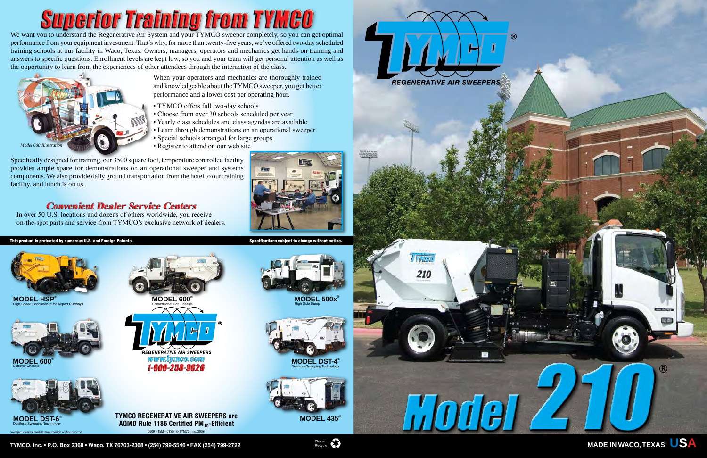**MODEL 500x®** High Side Dump

# **Superior Training from TYMCO**

We want you to understand the Regenerative Air System and your TYMCO sweeper completely, so you can get optimal performance from your equipment investment. That's why, for more than twenty-five years, we've offered two-day scheduled training schools at our facility in Waco, Texas. Owners, managers, operators and mechanics get hands-on training and answers to specific questions. Enrollment levels are kept low, so you and your team will get personal attention as well as the opportunity to learn from the experiences of other attendees through the interaction of the class.

> When your operators and mechanics are thoroughly trained and knowledgeable about the TYMCO sweeper, you get better performance and a lower cost per operating hour.

**AQMD Rule 1186 Certified PM<sub>10</sub>-Efficient** 0609 - 15M - 01SM © TYMCO, Inc. 2009



**MODEL HSP** High Speed Performance for Airport Runways

- TYMCO offers full two-day schools
- Choose from over 30 schools scheduled per year
- Yearly class schedules and class agendas are available
- Learn through demonstrations on an operational sweeper
- Special schools arranged for large groups
- Register to attend on our web site

Specifically designed for training, our 3500 square foot, temperature controlled facility provides ample space for demonstrations on an operational sweeper and systems components. We also provide daily ground transportation from the hotel to our training facility, and lunch is on us.

### **Convenient Dealer Service Centers**

In over 50 U.S. locations and dozens of others worldwide, you receive on-the-spot parts and service from TYMCO's exclusive network of dealers.

#### This product is protected by numerous U.S. and Foreign Patents. Specifications subject to change without notice











*Sweeper chassis models may change without notice.*











**TYMCO, Inc. • P.O. Box 2368 • Waco, TX 76703-2368 • (254) 799-5546 • FAX (254) 799-2722** Please